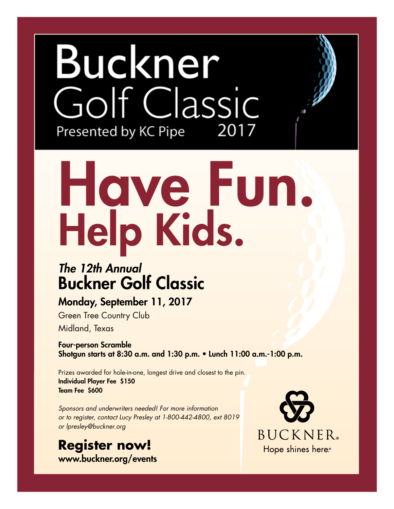## Buckner olf Classic Presented by KC Pipe 2017

# Have Fun. Help Kids.

### *The 12th Annual* Buckner Golf Classic

#### Monday, September 11, 2017

Green Tree Country Club Midland, Texas

Four-person Scramble Shotgun starts at 8:30 a.m. and 1:30 p.m. • Lunch 11:00 a.m.-1:00 p.m.

Prizes awarded for hole-in-one, longest drive and closest to the pin. Individual Player Fee \$150 Team Fee \$600

*Sponsors and underwriters needed! For more information or to register, contact Lucy Presley at 1-800-442-4800, ext 8019 or lpresley@buckner.org*

**Register now!** www.buckner.org/events

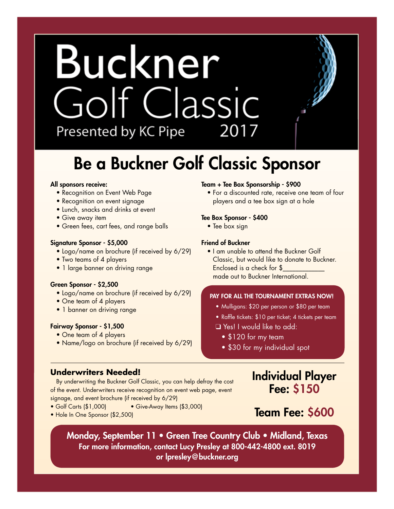## Buckner Golf Classic Presented by KC Pipe 2017

### Be a Buckner Golf Classic Sponsor

#### All sponsors receive:

- Recognition on Event Web Page
- Recognition on event signage
- Lunch, snacks and drinks at event
- Give away item
- Green fees, cart fees, and range balls

#### Signature Sponsor - \$5,000

- Logo/name on brochure (if received by 6/29)
- Two teams of 4 players
- 1 large banner on driving range

#### Green Sponsor - \$2,500

- Logo/name on brochure (if received by 6/29)
- One team of 4 players
- 1 banner on driving range

#### Fairway Sponsor - \$1,500

- One team of 4 players
- Name/logo on brochure (if received by 6/29)

#### **Underwriters Needed!**

#### By underwriting the Buckner Golf Classic, you can help defray the cost of the event. Underwriters receive recognition on event web page, event signage, and event brochure (if received by 6/29)

- Golf Carts (\$1,000) Give-Away Items (\$3,000)
- Hole In One Sponsor (\$2,500)

#### Team + Tee Box Sponsorship - \$900

• For a discounted rate, receive one team of four players and a tee box sign at a hole

#### Tee Box Sponsor - \$400

• Tee box sign

#### Friend of Buckner

• I am unable to attend the Buckner Golf Classic, but would like to donate to Buckner. Enclosed is a check for \$\_\_\_\_\_\_\_\_\_\_\_\_\_ made out to Buckner International.

#### PAY FOR ALL THE TOURNAMENT EXTRAS NOW!

- Mulligans: \$20 per person or \$80 per team
- Raffle tickets: \$10 per ticket; 4 tickets per team
- **□ Yes! I would like to add:** 
	- \$120 for my team
	- \$30 for my individual spot

#### Individual Player Fee: \$150

#### Team Fee: \$600

Monday, September 11 • Green Tree Country Club • Midland, Texas For more information, contact Lucy Presley at 800-442-4800 ext. 8019 or lpresley@buckner.org